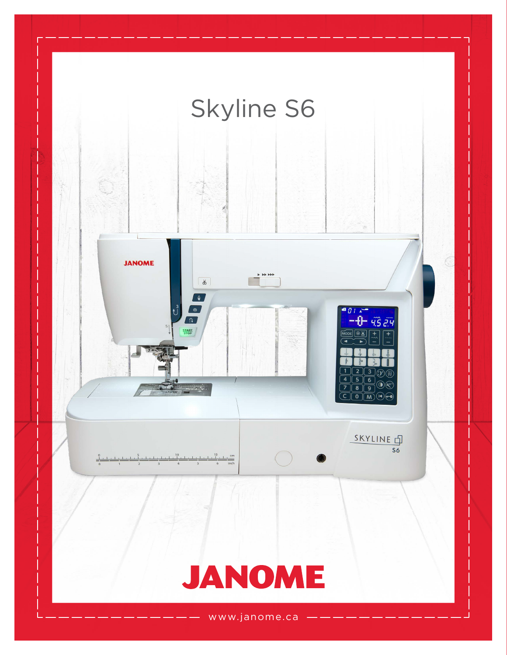